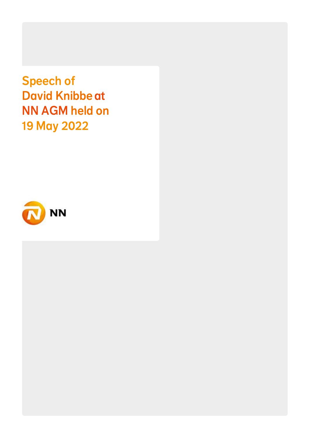Speech of David Knibbe at NN AGM held on 19 May 2022

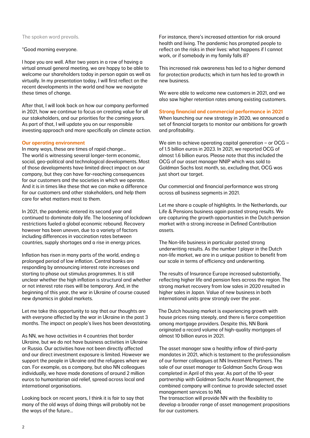### The spoken word prevails.

# "Good morning everyone.

I hope you are well. After two years in a row of having a virtual annual general meeting, we are happy to be able to welcome our shareholders today in person again as well as virtually. In my presentation today, I will first reflect on the recent developments in the world and how we navigate these times of change.

After that, I will look back on how our company performed in 2021, how we continue to focus on creating value for all our stakeholders, and our priorities for the coming years. As part of that, I will update you on our responsible investing approach and more specifically on climate action.

### **Our operating environment**

In many ways, these are times of rapid change… The world is witnessing several longer-term economic, social, geo-political and technological developments. Most of those developments have limited direct impact on our company, but they can have far-reaching consequences for our customers and the societies in which we operate. And it is in times like these that we can make a difference for our customers and other stakeholders, and help them care for what matters most to them.

In 2021, the pandemic entered its second year and continued to dominate daily life. The loosening of lockdown restrictions fueled a global economic rebound. Recovery however has been uneven, due to a variety of factors including differences in vaccination rates between countries, supply shortages and a rise in energy prices.

Inflation has risen in many parts of the world, ending a prolonged period of low inflation. Central banks are responding by announcing interest rate increases and starting to phase out stimulus programmes. It is still unclear whether the high inflation is structural and whether or not interest rate rises will be temporary. And, in the beginning of this year, the war in Ukraine of course caused new dynamics in global markets.

Let me take this opportunity to say that our thoughts are with everyone affected by the war in Ukraine in the past 3 months. The impact on people's lives has been devastating.

As NN, we have activities in 4 countries that border Ukraine, but we do not have business activities in Ukraine or Russia. Our activities have not been directly affected and our direct investment exposure is limited. However we support the people in Ukraine and the refugees where we can. For example, as a company, but also NN colleagues individually, we have made donations of around 2 million euros to humanitarian aid relief, spread across local and international organisations.

Looking back on recent years, I think it is fair to say that many of the old ways of doing things will probably not be the ways of the future…

For instance, there's increased attention for risk around health and living. The pandemic has prompted people to reflect on the risks in their lives: what happens if I cannot work, or if somebody in my family falls ill?

This increased risk awareness has led to a higher demand for protection products; which in turn has led to growth in new business.

We were able to welcome new customers in 2021, and we also saw higher retention rates among existing customers.

#### **Strong financial and commercial performance in 2021**

When launching our new strategy in 2020, we announced a set of financial targets to monitor our ambitions for growth and profitability.

We aim to achieve operating capital generation – or OCG – of 1.5 billion euros in 2023. In 2021, we reported OCG of almost 1.6 billion euros. Please note that this included the OCG of our asset manager NNIP which was sold to Goldman Sachs last month, so, excluding that, OCG was just short our target.

Our commercial and financial performance was strong across all business segments in 2021.

Let me share a couple of highlights. In the Netherlands, our Life & Pensions business again posted strong results. We are capturing the growth opportunities in the Dutch pension market with a strong increase in Defined Contribution assets.

The Non-life business in particular posted strong underwriting results. As the number 1 player in the Dutch non-life market, we are in a unique position to benefit from our scale in terms of efficiency and underwriting.

The results of Insurance Europe increased substantially, reflecting higher life and pension fees across the region. The strong market recovery from low sales in 2020 resulted in higher sales in Japan. Value of new business in both international units grew strongly over the year.

The Dutch housing market is experiencing growth with house prices rising steeply, and there is fierce competition among mortgage providers. Despite this, NN Bank originated a record volume of high-quality mortgages of almost 10 billion euros in 2021.

The asset manager saw a healthy inflow of third-party mandates in 2021, which is testament to the professionalism of our former colleagues at NN Investment Partners. The sale of our asset manager to Goldman Sachs Group was completed in April of this year. As part of the 10-year partnership with Goldman Sachs Asset Management, the combined company will continue to provide selected asset management services to NN.

The transaction will provide NN with the flexibility to develop a broader range of asset management propositions for our customers.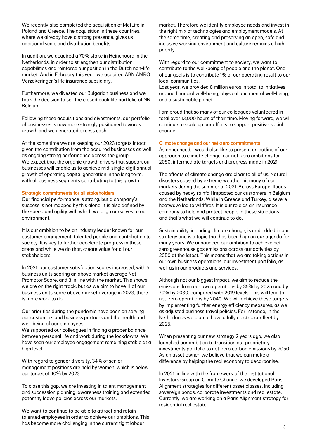We recently also completed the acquisition of MetLife in Poland and Greece. The acquisition in these countries, where we already have a strong presence, gives us additional scale and distribution benefits.

In addition, we acquired a 70% stake in Heinenoord in the Netherlands, in order to strengthen our distribution capabilities and reinforce our position in the Dutch non-life market. And in February this year, we acquired ABN AMRO Verzekeringen's life insurance subsidiary.

Furthermore, we divested our Bulgarian business and we took the decision to sell the closed book life portfolio of NN Belgium.

Following these acquisitions and divestments, our portfolio of businesses is now more strongly positioned towards growth and we generated excess cash.

At the same time we are keeping our 2023 targets intact, given the contribution from the acquired businesses as well as ongoing strong performance across the group. We expect that the organic growth drivers that support our businesses will enable us to achieve mid-single-digit annual growth of operating capital generation in the long term, with all business segments contributing to this growth.

## Strategic commitments for all stakeholders

Our financial performance is strong, but a company's success is not mapped by this alone. It is also defined by the speed and agility with which we align ourselves to our environment.

It is our ambition to be an industry leader known for our customer engagement, talented people and contribution to society. It is key to further accelerate progress in these areas and while we do that, create value for all our stakeholders.

In 2021, our customer satisfaction scores increased, with 5 business units scoring an above market average Net Promotor Score, and 3 in line with the market. This shows we are on the right track, but as we aim to have 11 of our business units score above market average in 2023, there is more work to do.

Our priorities during the pandemic have been on serving our customers and business partners and the health and well-being of our employees.

We supported our colleagues in finding a proper balance between personal life and work during the lockdowns. We have seen our employee engagement remaining stable at a high level.

With regard to gender diversity, 34% of senior management positions are held by women, which is below our target of 40% by 2023.

To close this gap, we are investing in talent management and succession planning, awareness training and extended paternity leave policies across our markets.

We want to continue to be able to attract and retain talented employees in order to achieve our ambitions. This has become more challenging in the current tight labour

market. Therefore we identify employee needs and invest in the right mix of technologies and employment models. At the same time, creating and preserving an open, safe and inclusive working environment and culture remains a high priority.

With regard to our commitment to society, we want to contribute to the well-being of people and the planet. One of our goals is to contribute 1% of our operating result to our local communities.

Last year, we provided 8 million euros in total to initiatives around financial well-being, physical and mental well-being, and a sustainable planet.

I am proud that so many of our colleagues volunteered in total over 13,000 hours of their time. Moving forward, we will continue to scale up our efforts to support positive social change.

### Climate change and our net-zero commitments

As announced, I would also like to present an outline of our approach to climate change, our net-zero ambitions for 2050, intermediate targets and progress made in 2021.

The effects of climate change are clear to all of us. Natural disasters caused by extreme weather hit many of our markets during the summer of 2021. Across Europe, floods caused by heavy rainfall impacted our customers in Belgium and the Netherlands. While in Greece and Turkey, a severe heatwave led to wildfires. It is our role as an insurance company to help and protect people in these situations – and that's what we will continue to do.

Sustainability, including climate change, is embedded in our strategy and is a topic that has been high on our agenda for many years. We announced our ambition to achieve netzero greenhouse gas emissions across our activities by 2050 at the latest. This means that we are taking actions in our own business operations, our investment portfolio, as well as in our products and services.

Although not our biggest impact, we aim to reduce the emissions from our own operations by 35% by 2025 and by 70% by 2030, compared with 2019 levels. This will lead to net-zero operations by 2040. We will achieve these targets by implementing further energy efficiency measures, as well as adjusted business travel policies. For instance, in the Netherlands we plan to have a fully electric car fleet by 2025.

When presenting our new strategy 2 years ago, we also launched our ambition to transition our proprietary investments portfolio to net-zero carbon emissions by 2050. As an asset owner, we believe that we can make a difference by helping the real economy to decarbonise.

In 2021, in line with the framework of the Institutional Investors Group on Climate Change, we developed Paris Alignment strategies for different asset classes, including sovereign bonds, corporate investments and real estate. Currently, we are working on a Paris Alignment strategy for residential real estate.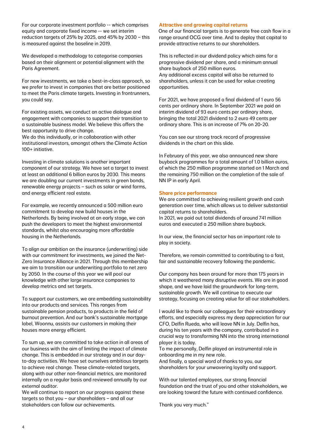For our corporate investment portfolio -- which comprises equity and corporate fixed income -- we set interim reduction targets of 25% by 2025, and 45% by 2030 – this is measured against the baseline in 2019.

We developed a methodology to categorise companies based on their alignment or potential alignment with the Paris Agreement.

For new investments, we take a best-in-class approach, so we prefer to invest in companies that are better positioned to meet the Paris climate targets. Investing in frontrunners, you could say.

For existing assets, we conduct an active dialogue and engagement with companies to support their transition to a sustainable business model. We believe this offers the best opportunity to drive change.

We do this individually, or in collaboration with other institutional investors, amongst others the Climate Action 100+ initiative.

Investing in climate solutions is another important component of our strategy. We have set a target to invest at least an additional 6 billion euros by 2030. This means we are doubling our current investments in green bonds, renewable energy projects – such as solar or wind farms, and energy efficient real estate.

For example, we recently announced a 500 million euro commitment to develop new build houses in the Netherlands. By being involved at an early stage, we can push the developers to meet the highest environmental standards, whilst also encouraging more affordable housing in the Netherlands.

To align our ambition on the insurance (underwriting) side with our commitment for investments, we joined the Net-Zero Insurance Alliance in 2021. Through this membership we aim to transition our underwriting portfolio to net zero by 2050. In the course of this year we will pool our knowledge with other large insurance companies to develop metrics and set targets.

To support our customers, we are embedding sustainability into our products and services. This ranges from sustainable pension products, to products in the field of burnout prevention. And our bank's sustainable mortgage label, Woonnu, assists our customers in making their houses more energy efficient.

To sum up, we are committed to take action in all areas of our business with the aim of limiting the impact of climate change. This is embedded in our strategy and in our dayto-day activities. We have set ourselves ambitious targets to achieve real change. These climate-related targets, along with our other non-financial metrics, are monitored internally on a regular basis and reviewed annually by our external auditor.

We will continue to report on our progress against these targets so that you – our shareholders – and all our stakeholders can follow our achievements.

### **Attractive and growing capital returns**

One of our financial targets is to generate free cash flow in a range around OCG over time. And to deploy that capital to provide attractive returns to our shareholders.

This is reflected in our dividend policy which aims for a progressive dividend per share, and a minimum annual share buyback of 250 million euros.

Any additional excess capital will also be returned to shareholders, unless it can be used for value creating opportunities.

For 2021, we have proposed a final dividend of 1 euro 56 cents per ordinary share. In September 2021 we paid an interim dividend of 93 euro cents per ordinary share, bringing the total 2021 dividend to 2 euro 49 cents per ordinary share. This is an increase of 7% on 20-20.

You can see our strong track record of progressive dividends in the chart on this slide.

In February of this year, we also announced new share buyback programmes for a total amount of 1.0 billion euros, of which the 250 million programme started on 1 March and the remaining 750 million on the completion of the sale of NN IP in early April.

### **Share price performance**

We are committed to achieving resilient growth and cash generation over time, which allows us to deliver substantial capital returns to shareholders.

In 2021, we paid out total dividends of around 741 million euros and executed a 250 million share buyback.

In our view, the financial sector has an important role to play in society.

Therefore, we remain committed to contributing to a fast, fair and sustainable recovery following the pandemic.

Our company has been around for more than 175 years in which it weathered many disruptive events. We are in good shape, and we have laid the groundwork for long-term, sustainable growth. We will continue to execute our strategy, focusing on creating value for all our stakeholders.

I would like to thank our colleagues for their extraordinary efforts, and especially express my deep appreciation for our CFO, Delfin Rueda, who will leave NN in July. Delfin has, during his ten years with the company, contributed in a crucial way to transforming NN into the strong international player it is today.

To me personally, Delfin played an instrumental role in onboarding me in my new role.

And finally, a special word of thanks to you, our shareholders for your unwavering loyalty and support.

With our talented employees, our strong financial foundation and the trust of you and other stakeholders, we are looking toward the future with continued confidence.

Thank you very much."